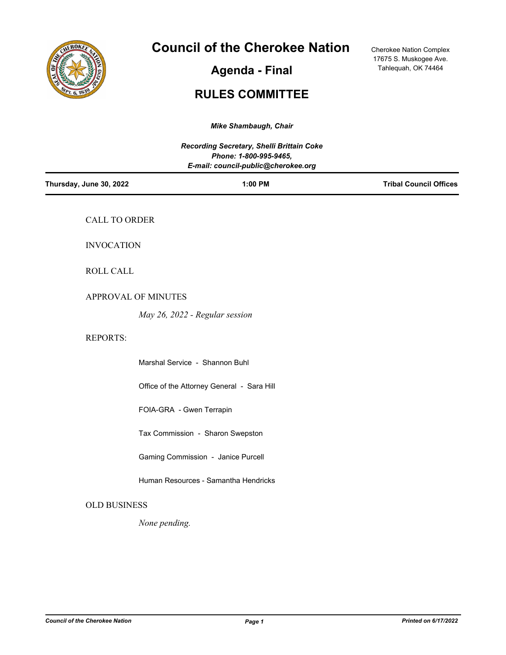

# **Council of the Cherokee Nation**

**Agenda - Final**

Cherokee Nation Complex 17675 S. Muskogee Ave. Tahlequah, OK 74464

# **RULES COMMITTEE**

| Mike Shambaugh, Chair                                                                                      |                               |  |
|------------------------------------------------------------------------------------------------------------|-------------------------------|--|
| Recording Secretary, Shelli Brittain Coke<br>Phone: 1-800-995-9465,<br>E-mail: council-public@cherokee.org |                               |  |
| 1:00 PM                                                                                                    | <b>Tribal Council Offices</b> |  |
| CALL TO ORDER                                                                                              |                               |  |
| <b>INVOCATION</b>                                                                                          |                               |  |
| ROLL CALL                                                                                                  |                               |  |
| APPROVAL OF MINUTES                                                                                        |                               |  |
| May 26, 2022 - Regular session                                                                             |                               |  |
|                                                                                                            |                               |  |
| Marshal Service - Shannon Buhl                                                                             |                               |  |
| Office of the Attorney General - Sara Hill                                                                 |                               |  |
| FOIA-GRA - Gwen Terrapin                                                                                   |                               |  |
| Tax Commission - Sharon Swepston                                                                           |                               |  |
| Gaming Commission - Janice Purcell                                                                         |                               |  |
| Human Resources - Samantha Hendricks                                                                       |                               |  |
| <b>OLD BUSINESS</b>                                                                                        |                               |  |
| None pending.                                                                                              |                               |  |
|                                                                                                            |                               |  |